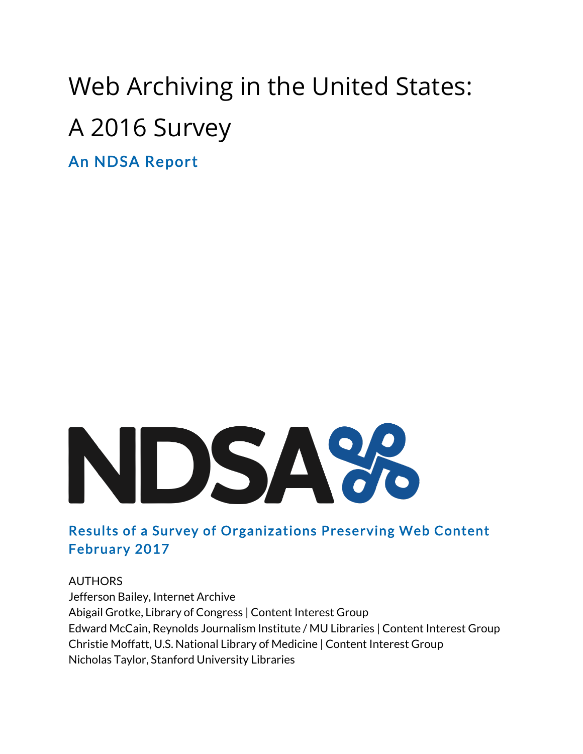# Web Archiving in the United States: A 2016 Survey

An NDSA Report



# Results of a Survey of Organizations Preserving Web Content February 2017

AUTHORS Jefferson Bailey, Internet Archive Abigail Grotke, Library of Congress | Content Interest Group Edward McCain, Reynolds Journalism Institute / MU Libraries | Content Interest Group Christie Moffatt, U.S. National Library of Medicine | Content Interest Group Nicholas Taylor, Stanford University Libraries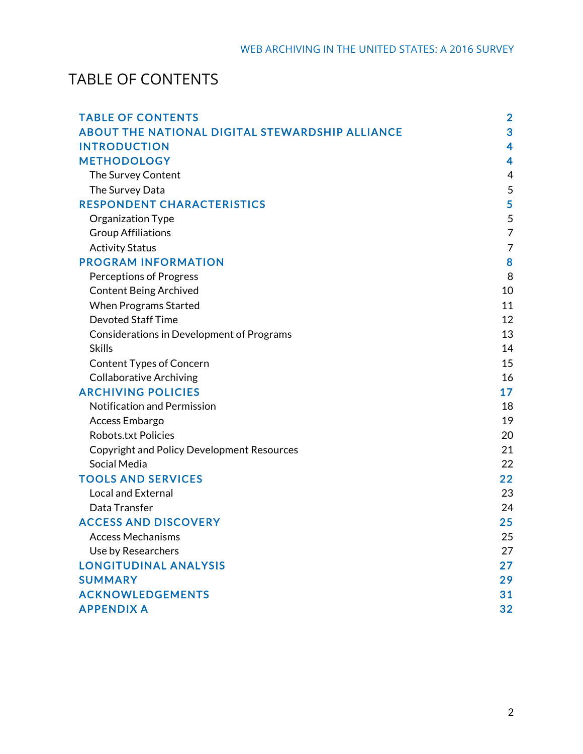# TABLE OF CONTENTS

| <b>TABLE OF CONTENTS</b>                               | $\overline{\mathbf{2}}$ |
|--------------------------------------------------------|-------------------------|
| <b>ABOUT THE NATIONAL DIGITAL STEWARDSHIP ALLIANCE</b> | 3                       |
| <b>INTRODUCTION</b>                                    | 4                       |
| <b>METHODOLOGY</b>                                     | 4                       |
| The Survey Content                                     | 4                       |
| The Survey Data                                        | 5                       |
| <b>RESPONDENT CHARACTERISTICS</b>                      | 5                       |
| Organization Type                                      | 5                       |
| <b>Group Affiliations</b>                              | $\overline{7}$          |
| <b>Activity Status</b>                                 | 7                       |
| <b>PROGRAM INFORMATION</b>                             | 8                       |
| <b>Perceptions of Progress</b>                         | 8                       |
| <b>Content Being Archived</b>                          | 10                      |
| <b>When Programs Started</b>                           | 11                      |
| <b>Devoted Staff Time</b>                              | 12                      |
| <b>Considerations in Development of Programs</b>       | 13                      |
| <b>Skills</b>                                          | 14                      |
| <b>Content Types of Concern</b>                        | 15                      |
| <b>Collaborative Archiving</b>                         | 16                      |
| <b>ARCHIVING POLICIES</b>                              | 17                      |
| <b>Notification and Permission</b>                     | 18                      |
| Access Embargo                                         | 19                      |
| <b>Robots.txt Policies</b>                             | 20                      |
| <b>Copyright and Policy Development Resources</b>      | 21                      |
| Social Media                                           | 22                      |
| <b>TOOLS AND SERVICES</b>                              | 22                      |
| <b>Local and External</b>                              | 23                      |
| Data Transfer                                          | 24                      |
| <b>ACCESS AND DISCOVERY</b>                            | 25                      |
| <b>Access Mechanisms</b>                               | 25                      |
| Use by Researchers                                     | 27                      |
| <b>LONGITUDINAL ANALYSIS</b>                           | $27\,$                  |
| <b>SUMMARY</b>                                         | 29                      |
| <b>ACKNOWLEDGEMENTS</b>                                | 31                      |
| <b>APPENDIX A</b>                                      | 32                      |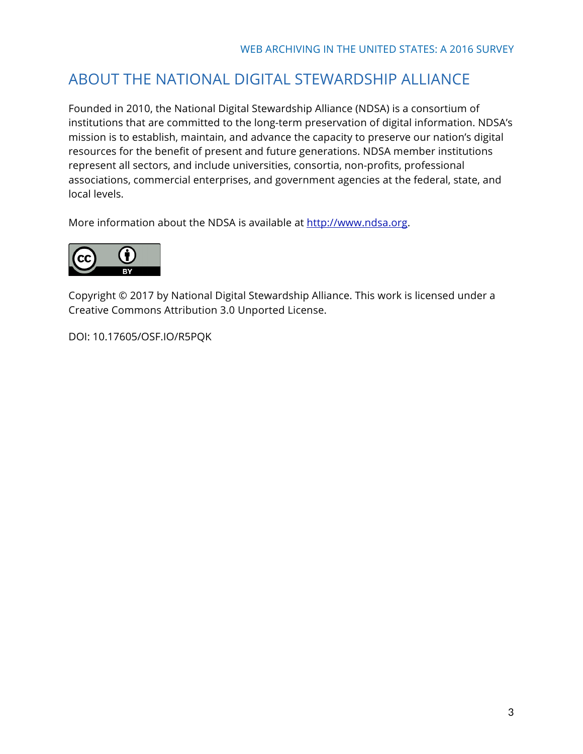# ABOUT THE NATIONAL DIGITAL STEWARDSHIP ALLIANCE

Founded in 2010, the National Digital Stewardship Alliance (NDSA) is a consortium of institutions that are committed to the long-term preservation of digital information. NDSA's mission is to establish, maintain, and advance the capacity to preserve our nation's digital resources for the benefit of present and future generations. NDSA member institutions represent all sectors, and include universities, consortia, non-profits, professional associations, commercial enterprises, and government agencies at the federal, state, and local levels.

More information about the NDSA is available at http://www.ndsa.org.



Copyright © 2017 by National Digital Stewardship Alliance. This work is licensed under a Creative Commons Attribution 3.0 Unported License.

DOI: 10.17605/OSF.IO/R5PQK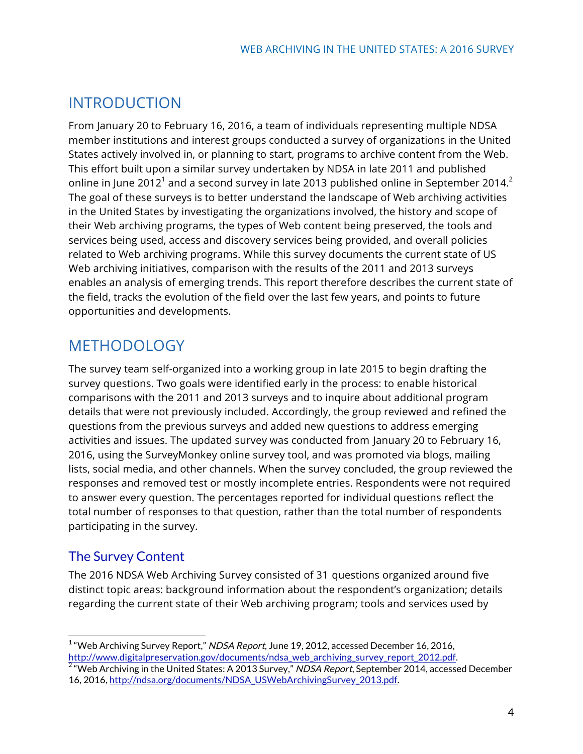# INTRODUCTION

From January 20 to February 16, 2016, a team of individuals representing multiple NDSA member institutions and interest groups conducted a survey of organizations in the United States actively involved in, or planning to start, programs to archive content from the Web. This effort built upon a similar survey undertaken by NDSA in late 2011 and published online in June 2012<sup>1</sup> and a second survey in late 2013 published online in September 2014.<sup>2</sup> The goal of these surveys is to better understand the landscape of Web archiving activities in the United States by investigating the organizations involved, the history and scope of their Web archiving programs, the types of Web content being preserved, the tools and services being used, access and discovery services being provided, and overall policies related to Web archiving programs. While this survey documents the current state of US Web archiving initiatives, comparison with the results of the 2011 and 2013 surveys enables an analysis of emerging trends. This report therefore describes the current state of the field, tracks the evolution of the field over the last few years, and points to future opportunities and developments.

# METHODOLOGY

The survey team self-organized into a working group in late 2015 to begin drafting the survey questions. Two goals were identified early in the process: to enable historical comparisons with the 2011 and 2013 surveys and to inquire about additional program details that were not previously included. Accordingly, the group reviewed and refined the questions from the previous surveys and added new questions to address emerging activities and issues. The updated survey was conducted from January 20 to February 16, 2016, using the SurveyMonkey online survey tool, and was promoted via blogs, mailing lists, social media, and other channels. When the survey concluded, the group reviewed the responses and removed test or mostly incomplete entries. Respondents were not required to answer every question. The percentages reported for individual questions reflect the total number of responses to that question, rather than the total number of respondents participating in the survey.

### The Survey Content

The 2016 NDSA Web Archiving Survey consisted of 31 questions organized around five distinct topic areas: background information about the respondent's organization; details regarding the current state of their Web archiving program; tools and services used by

 $1$  "Web Archiving Survey Report," NDSA Report, June 19, 2012, accessed December 16, 2016,<br>http://www.digitalpreservation.gov/documents/ndsa\_web\_archiving\_survey\_report\_2012.pdf.

http://www.digitalpreservation.gov/documents/ndsagervation.gov/documents/ndsagervation.gov/documents/ndsagerva<br>The United States: A 2013 Survey," NDSA Report, September 2014, accessed December 16, 2016, http://ndsa.org/documents/NDSA\_USWebArchivingSurvey\_2013.pdf.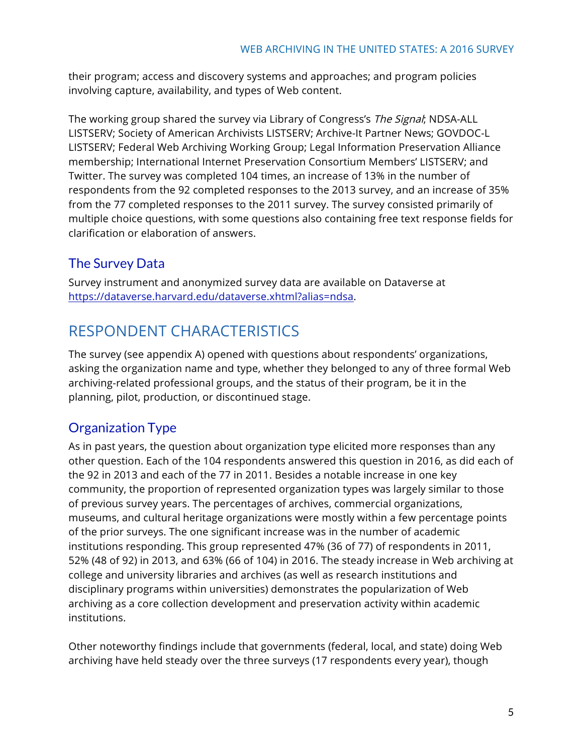their program; access and discovery systems and approaches; and program policies involving capture, availability, and types of Web content.

The working group shared the survey via Library of Congress's The Signal; NDSA-ALL LISTSERV; Society of American Archivists LISTSERV; Archive-It Partner News; GOVDOC-L LISTSERV; Federal Web Archiving Working Group; Legal Information Preservation Alliance membership; International Internet Preservation Consortium Members' LISTSERV; and Twitter. The survey was completed 104 times, an increase of 13% in the number of respondents from the 92 completed responses to the 2013 survey, and an increase of 35% from the 77 completed responses to the 2011 survey. The survey consisted primarily of multiple choice questions, with some questions also containing free text response fields for clarification or elaboration of answers.

# The Survey Data

Survey instrument and anonymized survey data are available on Dataverse at https://dataverse.harvard.edu/dataverse.xhtml?alias=ndsa.

# RESPONDENT CHARACTERISTICS

The survey (see appendix A) opened with questions about respondents' organizations, asking the organization name and type, whether they belonged to any of three formal Web archiving-related professional groups, and the status of their program, be it in the planning, pilot, production, or discontinued stage.

# Organization Type

As in past years, the question about organization type elicited more responses than any other question. Each of the 104 respondents answered this question in 2016, as did each of the 92 in 2013 and each of the 77 in 2011. Besides a notable increase in one key community, the proportion of represented organization types was largely similar to those of previous survey years. The percentages of archives, commercial organizations, museums, and cultural heritage organizations were mostly within a few percentage points of the prior surveys. The one significant increase was in the number of academic institutions responding. This group represented 47% (36 of 77) of respondents in 2011, 52% (48 of 92) in 2013, and 63% (66 of 104) in 2016. The steady increase in Web archiving at college and university libraries and archives (as well as research institutions and disciplinary programs within universities) demonstrates the popularization of Web archiving as a core collection development and preservation activity within academic institutions.

Other noteworthy findings include that governments (federal, local, and state) doing Web archiving have held steady over the three surveys (17 respondents every year), though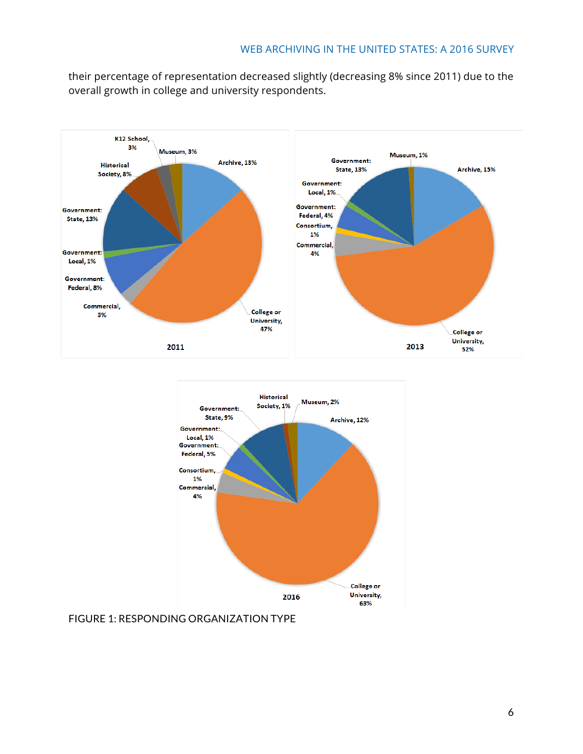their percentage of representation decreased slightly (decreasing 8% since 2011) due to the overall growth in college and university respondents.





FIGURE 1: RESPONDING ORGANIZATION TYPE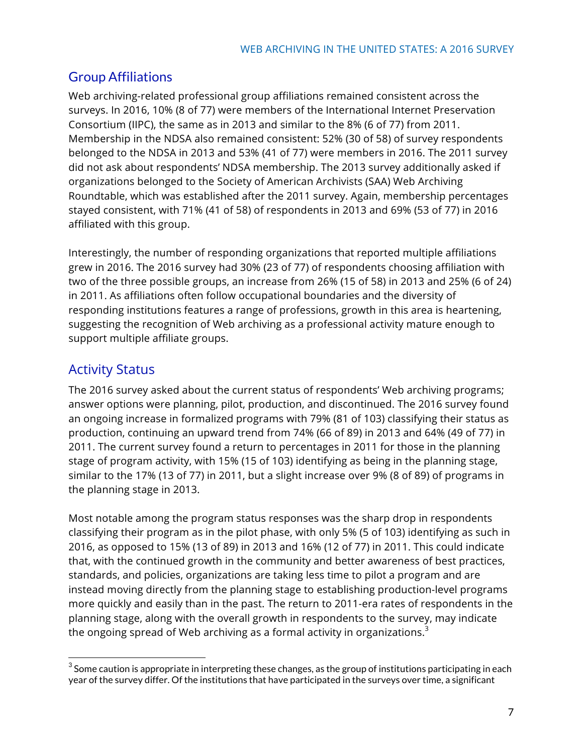# Group Affiliations

Web archiving-related professional group affiliations remained consistent across the surveys. In 2016, 10% (8 of 77) were members of the International Internet Preservation Consortium (IIPC), the same as in 2013 and similar to the 8% (6 of 77) from 2011. Membership in the NDSA also remained consistent: 52% (30 of 58) of survey respondents belonged to the NDSA in 2013 and 53% (41 of 77) were members in 2016. The 2011 survey did not ask about respondents' NDSA membership. The 2013 survey additionally asked if organizations belonged to the Society of American Archivists (SAA) Web Archiving Roundtable, which was established after the 2011 survey. Again, membership percentages stayed consistent, with 71% (41 of 58) of respondents in 2013 and 69% (53 of 77) in 2016 affiliated with this group.

Interestingly, the number of responding organizations that reported multiple affiliations grew in 2016. The 2016 survey had 30% (23 of 77) of respondents choosing affiliation with two of the three possible groups, an increase from 26% (15 of 58) in 2013 and 25% (6 of 24) in 2011. As affiliations often follow occupational boundaries and the diversity of responding institutions features a range of professions, growth in this area is heartening, suggesting the recognition of Web archiving as a professional activity mature enough to support multiple affiliate groups.

# Activity Status

The 2016 survey asked about the current status of respondents' Web archiving programs; answer options were planning, pilot, production, and discontinued. The 2016 survey found an ongoing increase in formalized programs with 79% (81 of 103) classifying their status as production, continuing an upward trend from 74% (66 of 89) in 2013 and 64% (49 of 77) in 2011. The current survey found a return to percentages in 2011 for those in the planning stage of program activity, with 15% (15 of 103) identifying as being in the planning stage, similar to the 17% (13 of 77) in 2011, but a slight increase over 9% (8 of 89) of programs in the planning stage in 2013.

Most notable among the program status responses was the sharp drop in respondents classifying their program as in the pilot phase, with only 5% (5 of 103) identifying as such in 2016, as opposed to 15% (13 of 89) in 2013 and 16% (12 of 77) in 2011. This could indicate that, with the continued growth in the community and better awareness of best practices, standards, and policies, organizations are taking less time to pilot a program and are instead moving directly from the planning stage to establishing production-level programs more quickly and easily than in the past. The return to 2011-era rates of respondents in the planning stage, along with the overall growth in respondents to the survey, may indicate the ongoing spread of Web archiving as a formal activity in organizations. $3$ 

 $3$  Some caution is appropriate in interpreting these changes, as the group of institutions participating in each year of the survey differ. Of the institutions that have participated in the surveys over time, a significant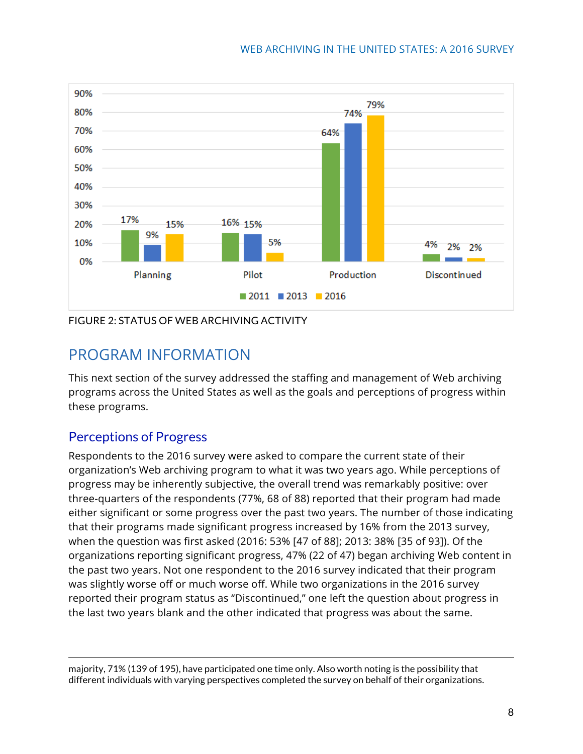

FIGURE 2: STATUS OF WEB ARCHIVING ACTIVITY

# PROGRAM INFORMATION

This next section of the survey addressed the staffing and management of Web archiving programs across the United States as well as the goals and perceptions of progress within these programs.

### Perceptions of Progress

Respondents to the 2016 survey were asked to compare the current state of their organization's Web archiving program to what it was two years ago. While perceptions of progress may be inherently subjective, the overall trend was remarkably positive: over three-quarters of the respondents (77%, 68 of 88) reported that their program had made either significant or some progress over the past two years. The number of those indicating that their programs made significant progress increased by 16% from the 2013 survey, when the question was first asked (2016: 53% [47 of 88]; 2013: 38% [35 of 93]). Of the organizations reporting significant progress, 47% (22 of 47) began archiving Web content in the past two years. Not one respondent to the 2016 survey indicated that their program was slightly worse off or much worse off. While two organizations in the 2016 survey reported their program status as "Discontinued," one left the question about progress in the last two years blank and the other indicated that progress was about the same.

 majority, 71% (139 of 195), have participated one time only. Also worth noting is the possibility that different individuals with varying perspectives completed the survey on behalf of their organizations.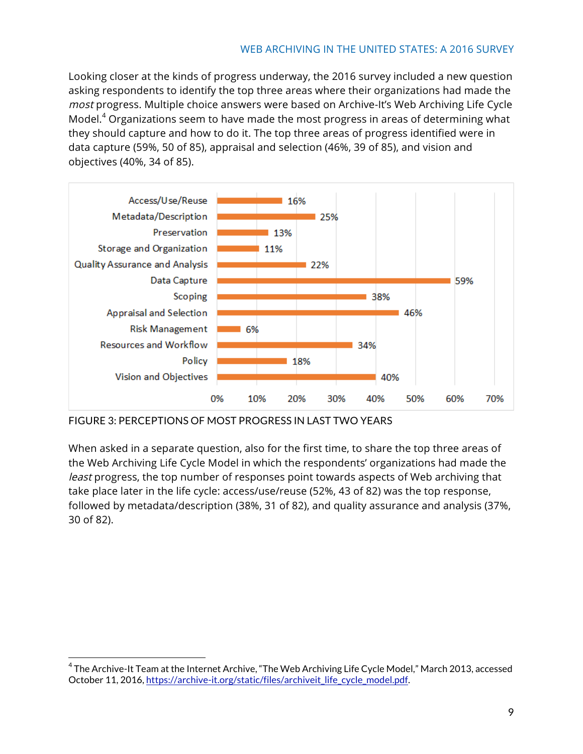Looking closer at the kinds of progress underway, the 2016 survey included a new question asking respondents to identify the top three areas where their organizations had made the most progress. Multiple choice answers were based on Archive-It's Web Archiving Life Cycle Model.<sup>4</sup> Organizations seem to have made the most progress in areas of determining what they should capture and how to do it. The top three areas of progress identified were in data capture (59%, 50 of 85), appraisal and selection (46%, 39 of 85), and vision and objectives (40%, 34 of 85).



FIGURE 3: PERCEPTIONS OF MOST PROGRESS IN LAST TWO YEARS

When asked in a separate question, also for the first time, to share the top three areas of the Web Archiving Life Cycle Model in which the respondents' organizations had made the least progress, the top number of responses point towards aspects of Web archiving that take place later in the life cycle: access/use/reuse (52%, 43 of 82) was the top response, followed by metadata/description (38%, 31 of 82), and quality assurance and analysis (37%, 30 of 82).

<sup>&</sup>lt;sup>4</sup> The Archive-It Team at the Internet Archive, "The Web Archiving Life Cycle Model," March 2013, accessed October 11, 2016, https://archive-it.org/static/files/archiveit\_life\_cycle\_model.pdf.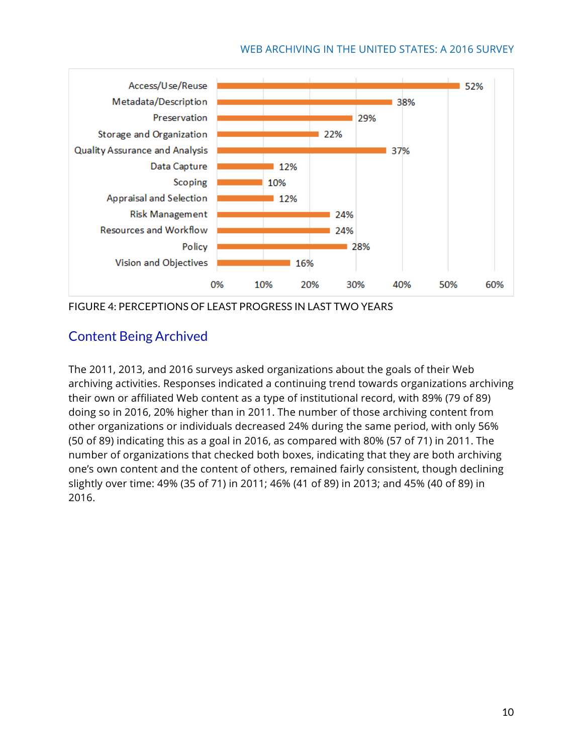

FIGURE 4: PERCEPTIONS OF LEAST PROGRESS IN LAST TWO YEARS

### Content Being Archived

The 2011, 2013, and 2016 surveys asked organizations about the goals of their Web archiving activities. Responses indicated a continuing trend towards organizations archiving their own or affiliated Web content as a type of institutional record, with 89% (79 of 89) doing so in 2016, 20% higher than in 2011. The number of those archiving content from other organizations or individuals decreased 24% during the same period, with only 56% (50 of 89) indicating this as a goal in 2016, as compared with 80% (57 of 71) in 2011. The number of organizations that checked both boxes, indicating that they are both archiving one's own content and the content of others, remained fairly consistent, though declining slightly over time: 49% (35 of 71) in 2011; 46% (41 of 89) in 2013; and 45% (40 of 89) in 2016.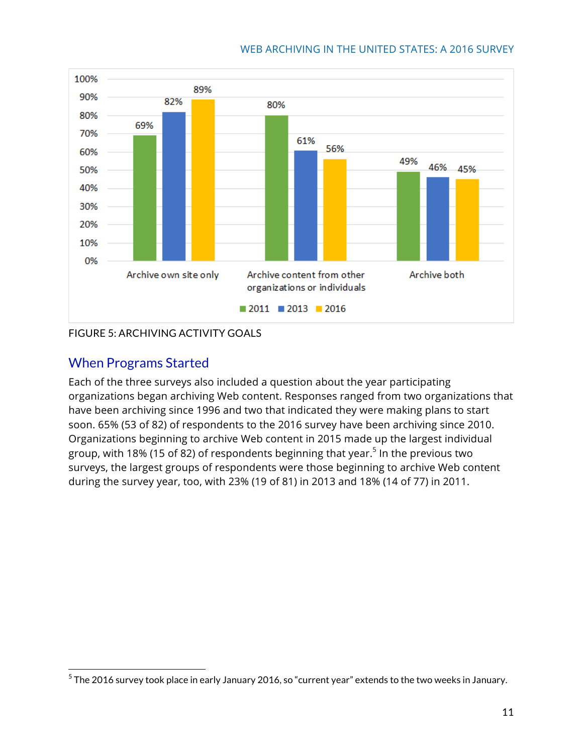

### FIGURE 5: ARCHIVING ACTIVITY GOALS

### When Programs Started

Each of the three surveys also included a question about the year participating organizations began archiving Web content. Responses ranged from two organizations that have been archiving since 1996 and two that indicated they were making plans to start soon. 65% (53 of 82) of respondents to the 2016 survey have been archiving since 2010. Organizations beginning to archive Web content in 2015 made up the largest individual group, with 18% (15 of 82) of respondents beginning that year.<sup>5</sup> In the previous two surveys, the largest groups of respondents were those beginning to archive Web content during the survey year, too, with 23% (19 of 81) in 2013 and 18% (14 of 77) in 2011.

 $^5$  The 2016 survey took place in early January 2016, so "current year" extends to the two weeks in January.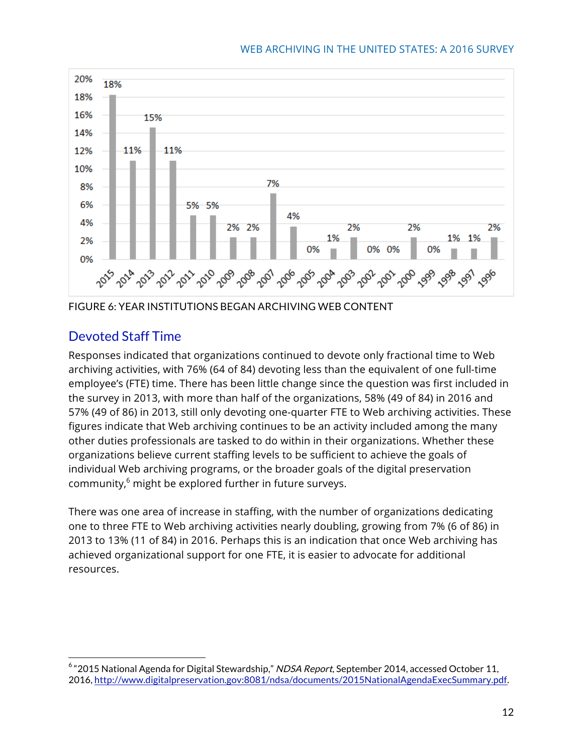

FIGURE 6: YEAR INSTITUTIONS BEGAN ARCHIVING WEB CONTENT

### Devoted Staff Time

Responses indicated that organizations continued to devote only fractional time to Web archiving activities, with 76% (64 of 84) devoting less than the equivalent of one full-time employee's (FTE) time. There has been little change since the question was first included in the survey in 2013, with more than half of the organizations, 58% (49 of 84) in 2016 and 57% (49 of 86) in 2013, still only devoting one-quarter FTE to Web archiving activities. These figures indicate that Web archiving continues to be an activity included among the many other duties professionals are tasked to do within in their organizations. Whether these organizations believe current staffing levels to be sufficient to achieve the goals of individual Web archiving programs, or the broader goals of the digital preservation community, $6$  might be explored further in future surveys.

There was one area of increase in staffing, with the number of organizations dedicating one to three FTE to Web archiving activities nearly doubling, growing from 7% (6 of 86) in 2013 to 13% (11 of 84) in 2016. Perhaps this is an indication that once Web archiving has achieved organizational support for one FTE, it is easier to advocate for additional resources.

 $6$  "2015 National Agenda for Digital Stewardship," NDSA Report, September 2014, accessed October 11, 2016, http://www.digitalpreservation.gov:8081/ndsa/documents/2015NationalAgendaExecSummary.pdf.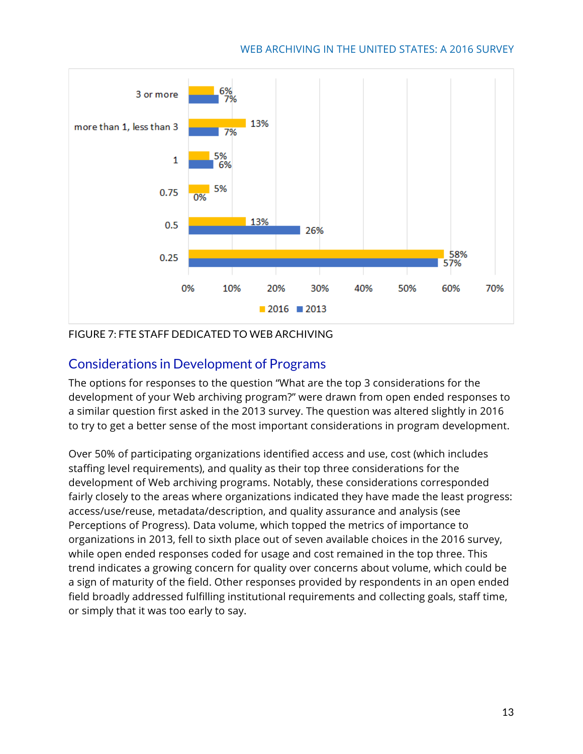

#### FIGURE 7: FTE STAFF DEDICATED TO WEB ARCHIVING

### Considerations in Development of Programs

The options for responses to the question "What are the top 3 considerations for the development of your Web archiving program?" were drawn from open ended responses to a similar question first asked in the 2013 survey. The question was altered slightly in 2016 to try to get a better sense of the most important considerations in program development.

Over 50% of participating organizations identified access and use, cost (which includes staffing level requirements), and quality as their top three considerations for the development of Web archiving programs. Notably, these considerations corresponded fairly closely to the areas where organizations indicated they have made the least progress: access/use/reuse, metadata/description, and quality assurance and analysis (see Perceptions of Progress). Data volume, which topped the metrics of importance to organizations in 2013, fell to sixth place out of seven available choices in the 2016 survey, while open ended responses coded for usage and cost remained in the top three. This trend indicates a growing concern for quality over concerns about volume, which could be a sign of maturity of the field. Other responses provided by respondents in an open ended field broadly addressed fulfilling institutional requirements and collecting goals, staff time, or simply that it was too early to say.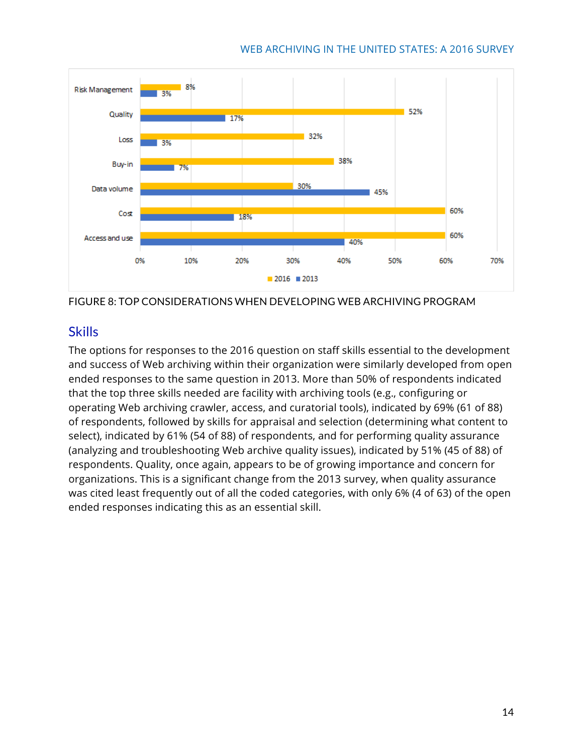

FIGURE 8: TOP CONSIDERATIONS WHEN DEVELOPING WEB ARCHIVING PROGRAM

### **Skills**

The options for responses to the 2016 question on staff skills essential to the development and success of Web archiving within their organization were similarly developed from open ended responses to the same question in 2013. More than 50% of respondents indicated that the top three skills needed are facility with archiving tools (e.g., configuring or operating Web archiving crawler, access, and curatorial tools), indicated by 69% (61 of 88) of respondents, followed by skills for appraisal and selection (determining what content to select), indicated by 61% (54 of 88) of respondents, and for performing quality assurance (analyzing and troubleshooting Web archive quality issues), indicated by 51% (45 of 88) of respondents. Quality, once again, appears to be of growing importance and concern for organizations. This is a significant change from the 2013 survey, when quality assurance was cited least frequently out of all the coded categories, with only 6% (4 of 63) of the open ended responses indicating this as an essential skill.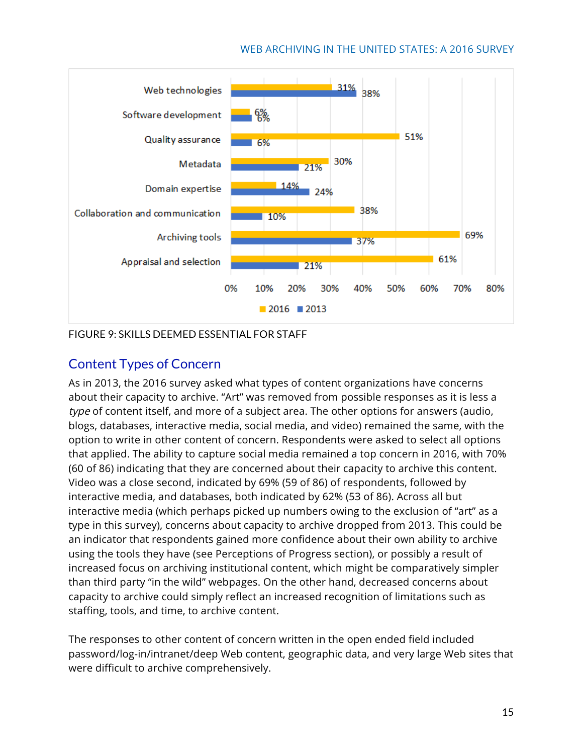

FIGURE 9: SKILLS DEEMED ESSENTIAL FOR STAFF

### Content Types of Concern

As in 2013, the 2016 survey asked what types of content organizations have concerns about their capacity to archive. "Art" was removed from possible responses as it is less a type of content itself, and more of a subject area. The other options for answers (audio, blogs, databases, interactive media, social media, and video) remained the same, with the option to write in other content of concern. Respondents were asked to select all options that applied. The ability to capture social media remained a top concern in 2016, with 70% (60 of 86) indicating that they are concerned about their capacity to archive this content. Video was a close second, indicated by 69% (59 of 86) of respondents, followed by interactive media, and databases, both indicated by 62% (53 of 86). Across all but interactive media (which perhaps picked up numbers owing to the exclusion of "art" as a type in this survey), concerns about capacity to archive dropped from 2013. This could be an indicator that respondents gained more confidence about their own ability to archive using the tools they have (see Perceptions of Progress section), or possibly a result of increased focus on archiving institutional content, which might be comparatively simpler than third party "in the wild" webpages. On the other hand, decreased concerns about capacity to archive could simply reflect an increased recognition of limitations such as staffing, tools, and time, to archive content.

The responses to other content of concern written in the open ended field included password/log-in/intranet/deep Web content, geographic data, and very large Web sites that were difficult to archive comprehensively.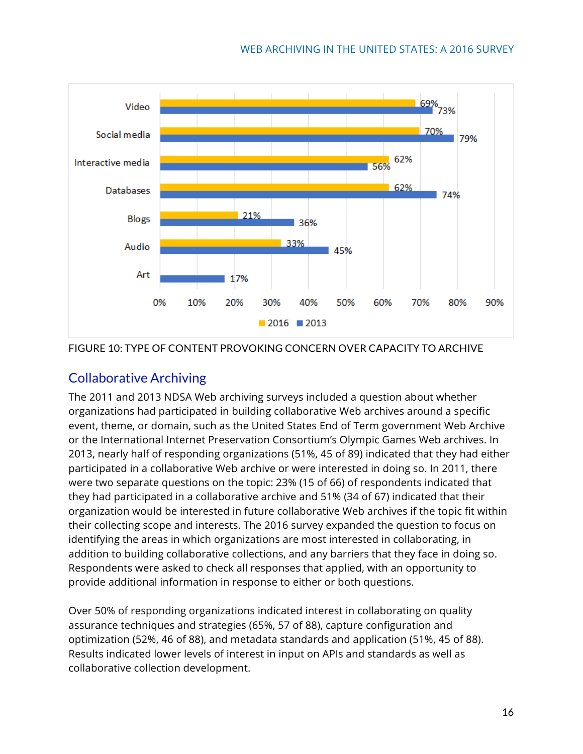



### Collaborative Archiving

The 2011 and 2013 NDSA Web archiving surveys included a question about whether organizations had participated in building collaborative Web archives around a specific event, theme, or domain, such as the United States End of Term government Web Archive or the International Internet Preservation Consortium's Olympic Games Web archives. In 2013, nearly half of responding organizations (51%, 45 of 89) indicated that they had either participated in a collaborative Web archive or were interested in doing so. In 2011, there were two separate questions on the topic: 23% (15 of 66) of respondents indicated that they had participated in a collaborative archive and 51% (34 of 67) indicated that their organization would be interested in future collaborative Web archives if the topic fit within their collecting scope and interests. The 2016 survey expanded the question to focus on identifying the areas in which organizations are most interested in collaborating, in addition to building collaborative collections, and any barriers that they face in doing so. Respondents were asked to check all responses that applied, with an opportunity to provide additional information in response to either or both questions.

Over 50% of responding organizations indicated interest in collaborating on quality assurance techniques and strategies (65%, 57 of 88), capture configuration and optimization (52%, 46 of 88), and metadata standards and application (51%, 45 of 88). Results indicated lower levels of interest in input on APIs and standards as well as collaborative collection development.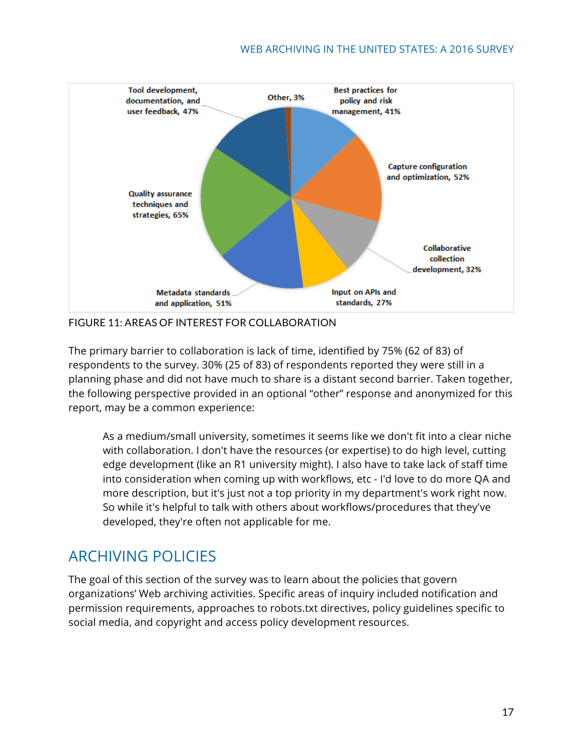

FIGURE 11: AREAS OF INTEREST FOR COLLABORATION

The primary barrier to collaboration is lack of time, identified by 75% (62 of 83) of respondents to the survey. 30% (25 of 83) of respondents reported they were still in a planning phase and did not have much to share is a distant second barrier. Taken together, the following perspective provided in an optional "other" response and anonymized for this report, may be a common experience:

As a medium/small university, sometimes it seems like we don't fit into a clear niche with collaboration. I don't have the resources (or expertise) to do high level, cutting edge development (like an R1 university might). I also have to take lack of staff time into consideration when coming up with workflows, etc - I'd love to do more QA and more description, but it's just not a top priority in my department's work right now. So while it's helpful to talk with others about workflows/procedures that they've developed, they're often not applicable for me.

# ARCHIVING POLICIES

The goal of this section of the survey was to learn about the policies that govern organizations' Web archiving activities. Specific areas of inquiry included notification and permission requirements, approaches to robots.txt directives, policy guidelines specific to social media, and copyright and access policy development resources.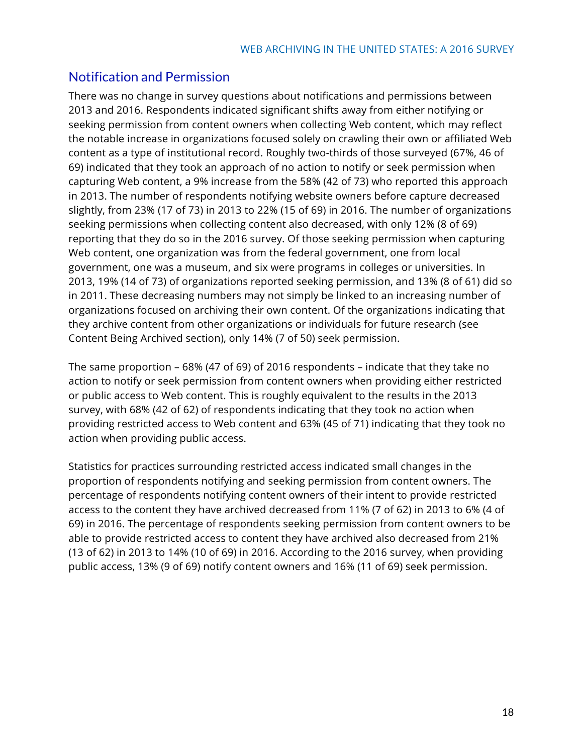### Notification and Permission

There was no change in survey questions about notifications and permissions between 2013 and 2016. Respondents indicated significant shifts away from either notifying or seeking permission from content owners when collecting Web content, which may reflect the notable increase in organizations focused solely on crawling their own or affiliated Web content as a type of institutional record. Roughly two-thirds of those surveyed (67%, 46 of 69) indicated that they took an approach of no action to notify or seek permission when capturing Web content, a 9% increase from the 58% (42 of 73) who reported this approach in 2013. The number of respondents notifying website owners before capture decreased slightly, from 23% (17 of 73) in 2013 to 22% (15 of 69) in 2016. The number of organizations seeking permissions when collecting content also decreased, with only 12% (8 of 69) reporting that they do so in the 2016 survey. Of those seeking permission when capturing Web content, one organization was from the federal government, one from local government, one was a museum, and six were programs in colleges or universities. In 2013, 19% (14 of 73) of organizations reported seeking permission, and 13% (8 of 61) did so in 2011. These decreasing numbers may not simply be linked to an increasing number of organizations focused on archiving their own content. Of the organizations indicating that they archive content from other organizations or individuals for future research (see Content Being Archived section), only 14% (7 of 50) seek permission.

The same proportion – 68% (47 of 69) of 2016 respondents – indicate that they take no action to notify or seek permission from content owners when providing either restricted or public access to Web content. This is roughly equivalent to the results in the 2013 survey, with 68% (42 of 62) of respondents indicating that they took no action when providing restricted access to Web content and 63% (45 of 71) indicating that they took no action when providing public access.

Statistics for practices surrounding restricted access indicated small changes in the proportion of respondents notifying and seeking permission from content owners. The percentage of respondents notifying content owners of their intent to provide restricted access to the content they have archived decreased from 11% (7 of 62) in 2013 to 6% (4 of 69) in 2016. The percentage of respondents seeking permission from content owners to be able to provide restricted access to content they have archived also decreased from 21% (13 of 62) in 2013 to 14% (10 of 69) in 2016. According to the 2016 survey, when providing public access, 13% (9 of 69) notify content owners and 16% (11 of 69) seek permission.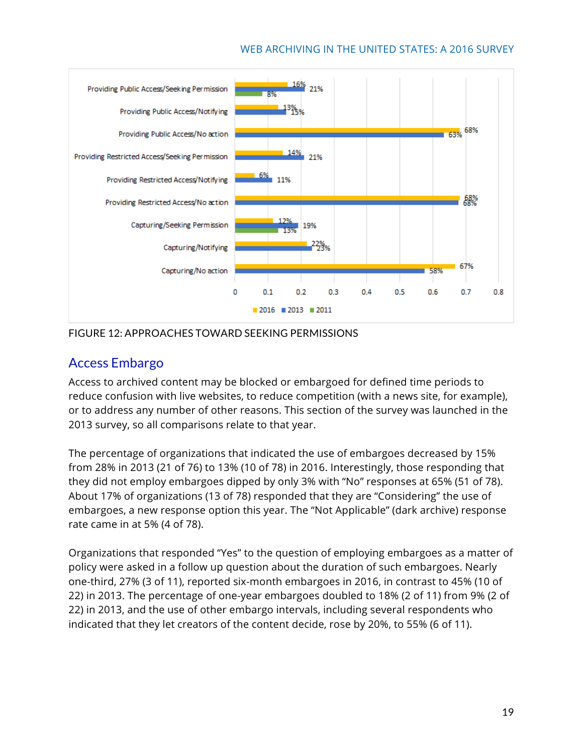

#### FIGURE 12: APPROACHES TOWARD SEEKING PERMISSIONS

### Access Embargo

Access to archived content may be blocked or embargoed for defined time periods to reduce confusion with live websites, to reduce competition (with a news site, for example), or to address any number of other reasons. This section of the survey was launched in the 2013 survey, so all comparisons relate to that year.

The percentage of organizations that indicated the use of embargoes decreased by 15% from 28% in 2013 (21 of 76) to 13% (10 of 78) in 2016. Interestingly, those responding that they did not employ embargoes dipped by only 3% with "No" responses at 65% (51 of 78). About 17% of organizations (13 of 78) responded that they are "Considering" the use of embargoes, a new response option this year. The "Not Applicable" (dark archive) response rate came in at 5% (4 of 78).

Organizations that responded "Yes" to the question of employing embargoes as a matter of policy were asked in a follow up question about the duration of such embargoes. Nearly one-third, 27% (3 of 11), reported six-month embargoes in 2016, in contrast to 45% (10 of 22) in 2013. The percentage of one-year embargoes doubled to 18% (2 of 11) from 9% (2 of 22) in 2013, and the use of other embargo intervals, including several respondents who indicated that they let creators of the content decide, rose by 20%, to 55% (6 of 11).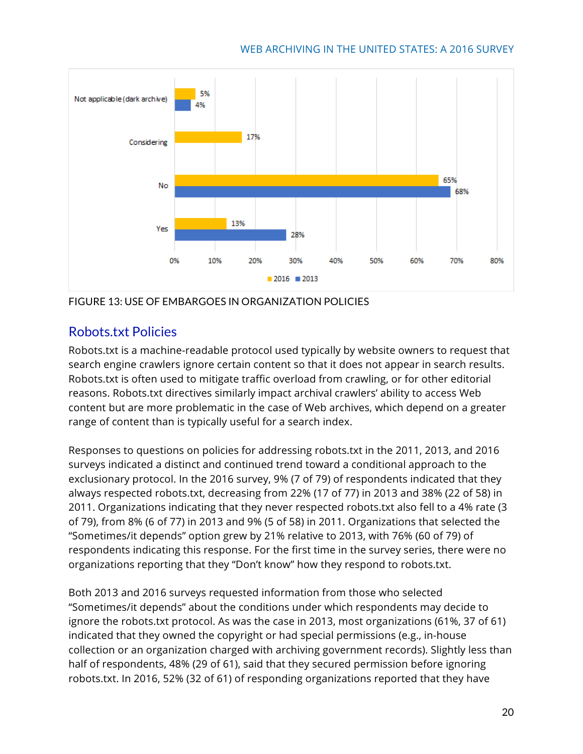

FIGURE 13: USE OF EMBARGOES IN ORGANIZATION POLICIES

### Robots.txt Policies

Robots.txt is a machine-readable protocol used typically by website owners to request that search engine crawlers ignore certain content so that it does not appear in search results. Robots.txt is often used to mitigate traffic overload from crawling, or for other editorial reasons. Robots.txt directives similarly impact archival crawlers' ability to access Web content but are more problematic in the case of Web archives, which depend on a greater range of content than is typically useful for a search index.

Responses to questions on policies for addressing robots.txt in the 2011, 2013, and 2016 surveys indicated a distinct and continued trend toward a conditional approach to the exclusionary protocol. In the 2016 survey, 9% (7 of 79) of respondents indicated that they always respected robots.txt, decreasing from 22% (17 of 77) in 2013 and 38% (22 of 58) in 2011. Organizations indicating that they never respected robots.txt also fell to a 4% rate (3 of 79), from 8% (6 of 77) in 2013 and 9% (5 of 58) in 2011. Organizations that selected the "Sometimes/it depends" option grew by 21% relative to 2013, with 76% (60 of 79) of respondents indicating this response. For the first time in the survey series, there were no organizations reporting that they "Don't know" how they respond to robots.txt.

Both 2013 and 2016 surveys requested information from those who selected "Sometimes/it depends" about the conditions under which respondents may decide to ignore the robots.txt protocol. As was the case in 2013, most organizations (61%, 37 of 61) indicated that they owned the copyright or had special permissions (e.g., in-house collection or an organization charged with archiving government records). Slightly less than half of respondents, 48% (29 of 61), said that they secured permission before ignoring robots.txt. In 2016, 52% (32 of 61) of responding organizations reported that they have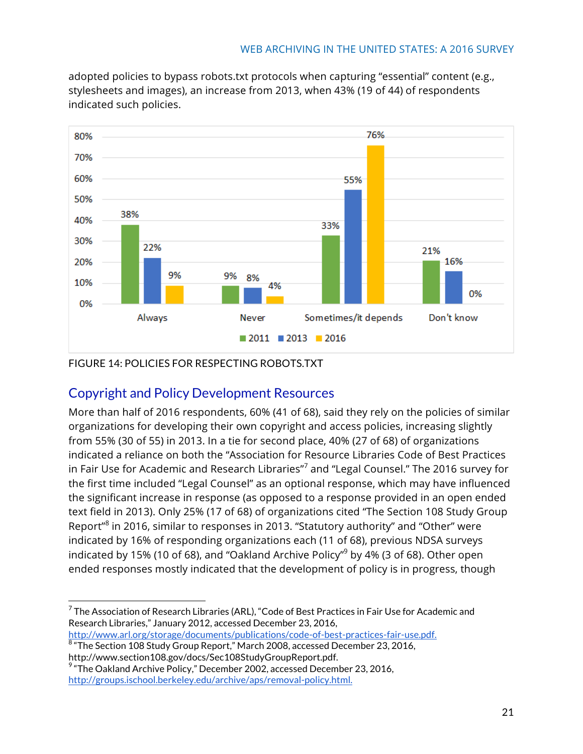adopted policies to bypass robots.txt protocols when capturing "essential" content (e.g., stylesheets and images), an increase from 2013, when 43% (19 of 44) of respondents indicated such policies.



### FIGURE 14: POLICIES FOR RESPECTING ROBOTS.TXT

### Copyright and Policy Development Resources

More than half of 2016 respondents, 60% (41 of 68), said they rely on the policies of similar organizations for developing their own copyright and access policies, increasing slightly from 55% (30 of 55) in 2013. In a tie for second place, 40% (27 of 68) of organizations indicated a reliance on both the "Association for Resource Libraries Code of Best Practices in Fair Use for Academic and Research Libraries"<sup>7</sup> and "Legal Counsel." The 2016 survey for the first time included "Legal Counsel" as an optional response, which may have influenced the significant increase in response (as opposed to a response provided in an open ended text field in 2013). Only 25% (17 of 68) of organizations cited "The Section 108 Study Group Report"<sup>8</sup> in 2016, similar to responses in 2013. "Statutory authority" and "Other" were indicated by 16% of responding organizations each (11 of 68), previous NDSA surveys indicated by 15% (10 of 68), and "Oakland Archive Policy" $9$  by 4% (3 of 68). Other open ended responses mostly indicated that the development of policy is in progress, though

http://www.arl.org/storage/documents/publications/code-of-best-practices-fair-use.pdf. 8 "The Section 108 Study Group Report," March 2008, accessed December 23, 2016,

 $7$  The Association of Research Libraries (ARL), "Code of Best Practices in Fair Use for Academic and Research Libraries," January 2012, accessed December 23, 2016,

http://www.section108.gov/docs/Sec108StudyGroupReport.pdf.

 $9$  "The Oakland Archive Policy," December 2002, accessed December 23, 2016, http://groups.ischool.berkeley.edu/archive/aps/removal-policy.html.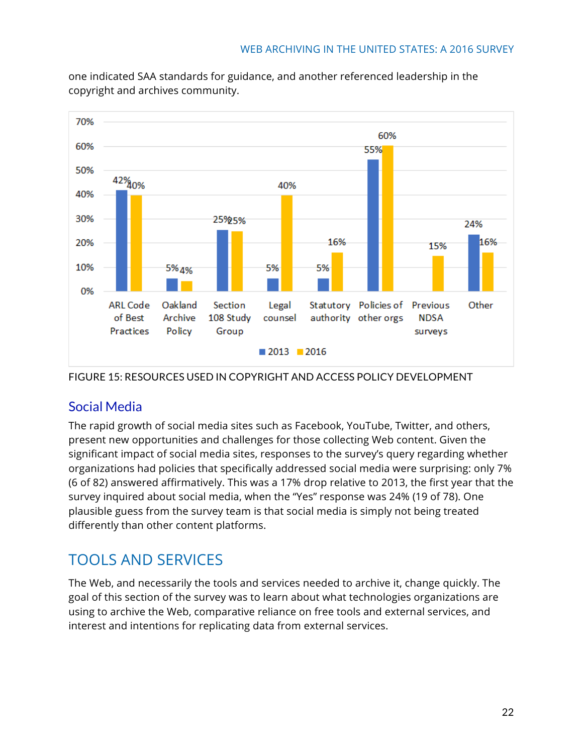

one indicated SAA standards for guidance, and another referenced leadership in the copyright and archives community.

FIGURE 15: RESOURCES USED IN COPYRIGHT AND ACCESS POLICY DEVELOPMENT

# Social Media

The rapid growth of social media sites such as Facebook, YouTube, Twitter, and others, present new opportunities and challenges for those collecting Web content. Given the significant impact of social media sites, responses to the survey's query regarding whether organizations had policies that specifically addressed social media were surprising: only 7% (6 of 82) answered affirmatively. This was a 17% drop relative to 2013, the first year that the survey inquired about social media, when the "Yes" response was 24% (19 of 78). One plausible guess from the survey team is that social media is simply not being treated differently than other content platforms.

# TOOLS AND SERVICES

The Web, and necessarily the tools and services needed to archive it, change quickly. The goal of this section of the survey was to learn about what technologies organizations are using to archive the Web, comparative reliance on free tools and external services, and interest and intentions for replicating data from external services.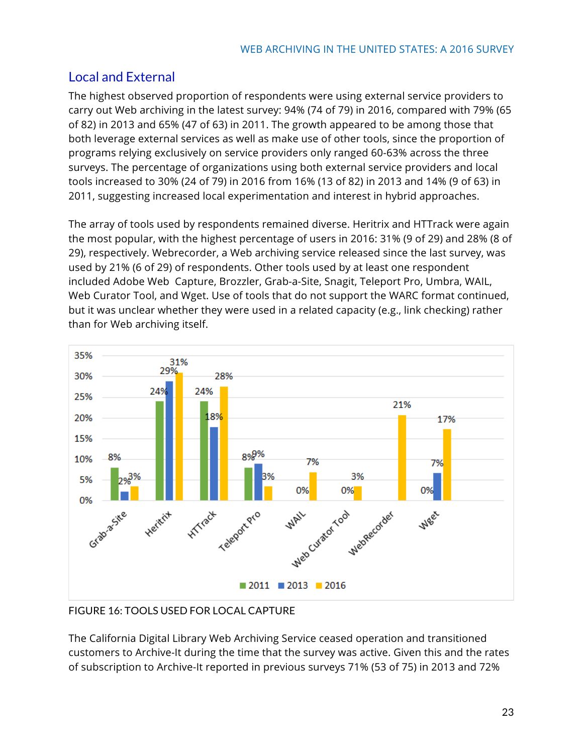### Local and External

The highest observed proportion of respondents were using external service providers to carry out Web archiving in the latest survey: 94% (74 of 79) in 2016, compared with 79% (65 of 82) in 2013 and 65% (47 of 63) in 2011. The growth appeared to be among those that both leverage external services as well as make use of other tools, since the proportion of programs relying exclusively on service providers only ranged 60-63% across the three surveys. The percentage of organizations using both external service providers and local tools increased to 30% (24 of 79) in 2016 from 16% (13 of 82) in 2013 and 14% (9 of 63) in 2011, suggesting increased local experimentation and interest in hybrid approaches.

The array of tools used by respondents remained diverse. Heritrix and HTTrack were again the most popular, with the highest percentage of users in 2016: 31% (9 of 29) and 28% (8 of 29), respectively. Webrecorder, a Web archiving service released since the last survey, was used by 21% (6 of 29) of respondents. Other tools used by at least one respondent included Adobe Web Capture, Brozzler, Grab-a-Site, Snagit, Teleport Pro, Umbra, WAIL, Web Curator Tool, and Wget. Use of tools that do not support the WARC format continued, but it was unclear whether they were used in a related capacity (e.g., link checking) rather than for Web archiving itself.



FIGURE 16: TOOLS USED FOR LOCAL CAPTURE

The California Digital Library Web Archiving Service ceased operation and transitioned customers to Archive-It during the time that the survey was active. Given this and the rates of subscription to Archive-It reported in previous surveys 71% (53 of 75) in 2013 and 72%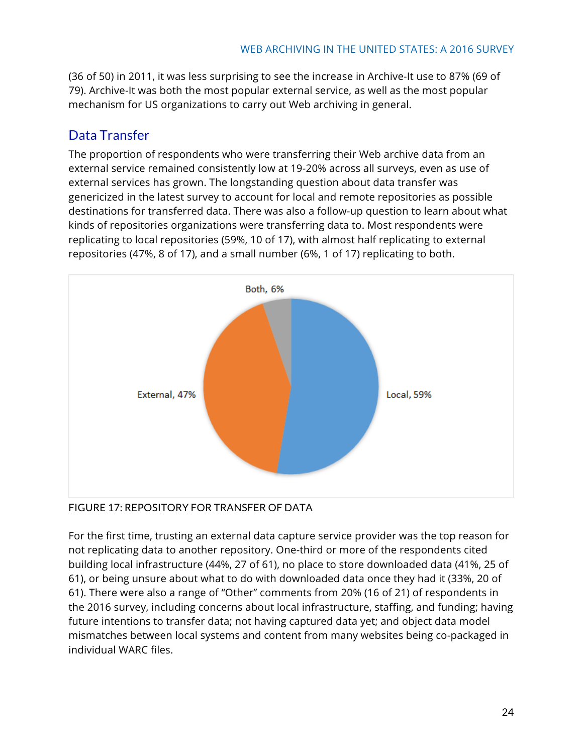(36 of 50) in 2011, it was less surprising to see the increase in Archive-It use to 87% (69 of 79). Archive-It was both the most popular external service, as well as the most popular mechanism for US organizations to carry out Web archiving in general.

### Data Transfer

The proportion of respondents who were transferring their Web archive data from an external service remained consistently low at 19-20% across all surveys, even as use of external services has grown. The longstanding question about data transfer was genericized in the latest survey to account for local and remote repositories as possible destinations for transferred data. There was also a follow-up question to learn about what kinds of repositories organizations were transferring data to. Most respondents were replicating to local repositories (59%, 10 of 17), with almost half replicating to external repositories (47%, 8 of 17), and a small number (6%, 1 of 17) replicating to both.



### FIGURE 17: REPOSITORY FOR TRANSFER OF DATA

For the first time, trusting an external data capture service provider was the top reason for not replicating data to another repository. One-third or more of the respondents cited building local infrastructure (44%, 27 of 61), no place to store downloaded data (41%, 25 of 61), or being unsure about what to do with downloaded data once they had it (33%, 20 of 61). There were also a range of "Other" comments from 20% (16 of 21) of respondents in the 2016 survey, including concerns about local infrastructure, staffing, and funding; having future intentions to transfer data; not having captured data yet; and object data model mismatches between local systems and content from many websites being co-packaged in individual WARC files.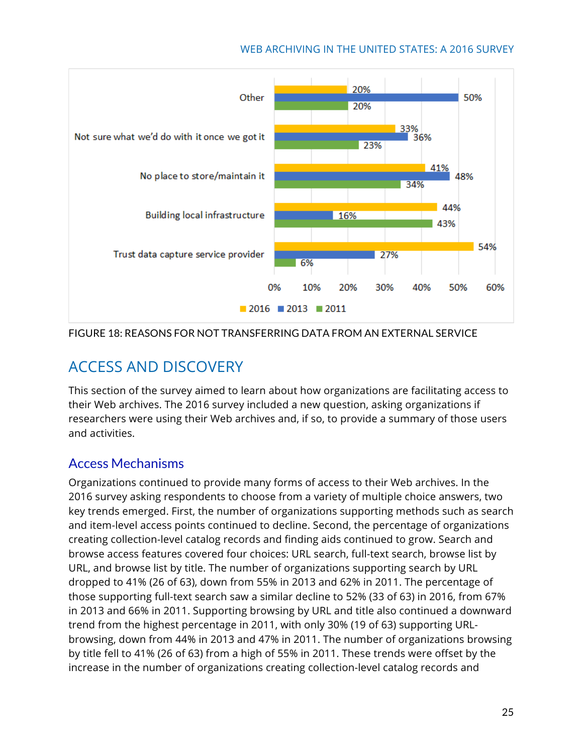

FIGURE 18: REASONS FOR NOT TRANSFERRING DATA FROM AN EXTERNAL SERVICE

# ACCESS AND DISCOVERY

This section of the survey aimed to learn about how organizations are facilitating access to their Web archives. The 2016 survey included a new question, asking organizations if researchers were using their Web archives and, if so, to provide a summary of those users and activities.

### Access Mechanisms

Organizations continued to provide many forms of access to their Web archives. In the 2016 survey asking respondents to choose from a variety of multiple choice answers, two key trends emerged. First, the number of organizations supporting methods such as search and item-level access points continued to decline. Second, the percentage of organizations creating collection-level catalog records and finding aids continued to grow. Search and browse access features covered four choices: URL search, full-text search, browse list by URL, and browse list by title. The number of organizations supporting search by URL dropped to 41% (26 of 63), down from 55% in 2013 and 62% in 2011. The percentage of those supporting full-text search saw a similar decline to 52% (33 of 63) in 2016, from 67% in 2013 and 66% in 2011. Supporting browsing by URL and title also continued a downward trend from the highest percentage in 2011, with only 30% (19 of 63) supporting URLbrowsing, down from 44% in 2013 and 47% in 2011. The number of organizations browsing by title fell to 41% (26 of 63) from a high of 55% in 2011. These trends were offset by the increase in the number of organizations creating collection-level catalog records and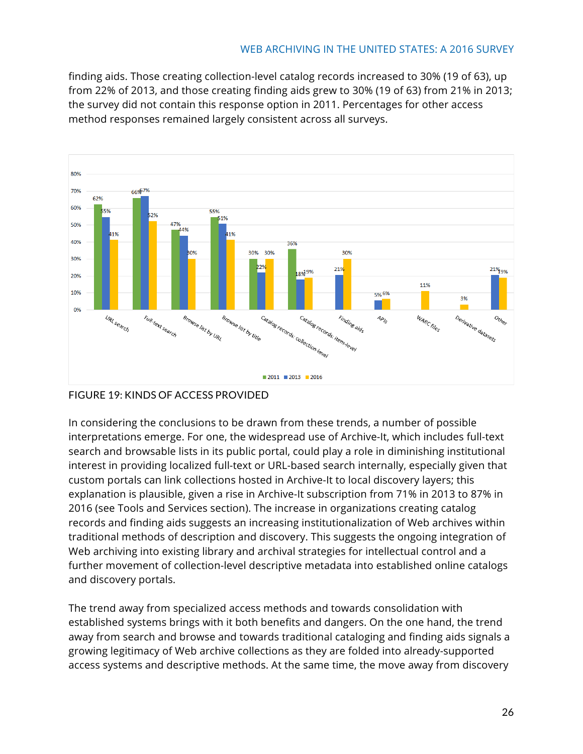finding aids. Those creating collection-level catalog records increased to 30% (19 of 63), up from 22% of 2013, and those creating finding aids grew to 30% (19 of 63) from 21% in 2013; the survey did not contain this response option in 2011. Percentages for other access method responses remained largely consistent across all surveys.



#### FIGURE 19: KINDS OF ACCESS PROVIDED

In considering the conclusions to be drawn from these trends, a number of possible interpretations emerge. For one, the widespread use of Archive-It, which includes full-text search and browsable lists in its public portal, could play a role in diminishing institutional interest in providing localized full-text or URL-based search internally, especially given that custom portals can link collections hosted in Archive-It to local discovery layers; this explanation is plausible, given a rise in Archive-It subscription from 71% in 2013 to 87% in 2016 (see Tools and Services section). The increase in organizations creating catalog records and finding aids suggests an increasing institutionalization of Web archives within traditional methods of description and discovery. This suggests the ongoing integration of Web archiving into existing library and archival strategies for intellectual control and a further movement of collection-level descriptive metadata into established online catalogs and discovery portals.

The trend away from specialized access methods and towards consolidation with established systems brings with it both benefits and dangers. On the one hand, the trend away from search and browse and towards traditional cataloging and finding aids signals a growing legitimacy of Web archive collections as they are folded into already-supported access systems and descriptive methods. At the same time, the move away from discovery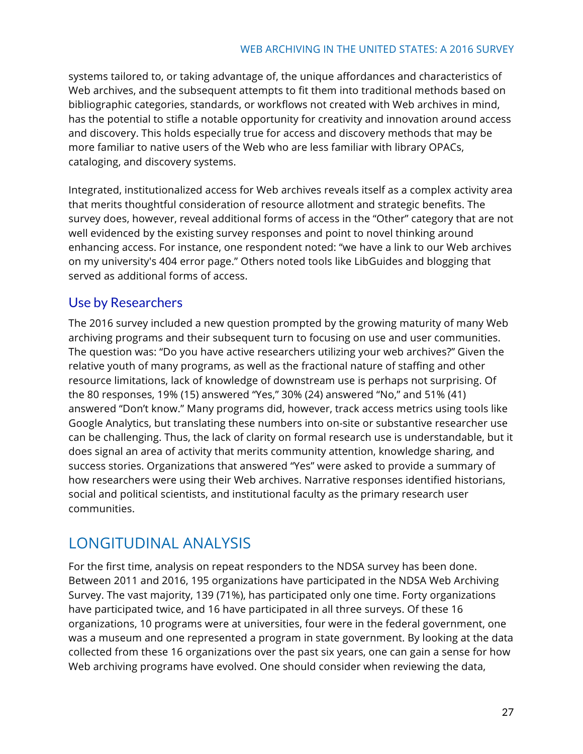systems tailored to, or taking advantage of, the unique affordances and characteristics of Web archives, and the subsequent attempts to fit them into traditional methods based on bibliographic categories, standards, or workflows not created with Web archives in mind, has the potential to stifle a notable opportunity for creativity and innovation around access and discovery. This holds especially true for access and discovery methods that may be more familiar to native users of the Web who are less familiar with library OPACs, cataloging, and discovery systems.

Integrated, institutionalized access for Web archives reveals itself as a complex activity area that merits thoughtful consideration of resource allotment and strategic benefits. The survey does, however, reveal additional forms of access in the "Other" category that are not well evidenced by the existing survey responses and point to novel thinking around enhancing access. For instance, one respondent noted: "we have a link to our Web archives on my university's 404 error page." Others noted tools like LibGuides and blogging that served as additional forms of access.

### Use by Researchers

The 2016 survey included a new question prompted by the growing maturity of many Web archiving programs and their subsequent turn to focusing on use and user communities. The question was: "Do you have active researchers utilizing your web archives?" Given the relative youth of many programs, as well as the fractional nature of staffing and other resource limitations, lack of knowledge of downstream use is perhaps not surprising. Of the 80 responses, 19% (15) answered "Yes," 30% (24) answered "No," and 51% (41) answered "Don't know." Many programs did, however, track access metrics using tools like Google Analytics, but translating these numbers into on-site or substantive researcher use can be challenging. Thus, the lack of clarity on formal research use is understandable, but it does signal an area of activity that merits community attention, knowledge sharing, and success stories. Organizations that answered "Yes" were asked to provide a summary of how researchers were using their Web archives. Narrative responses identified historians, social and political scientists, and institutional faculty as the primary research user communities.

# LONGITUDINAL ANALYSIS

For the first time, analysis on repeat responders to the NDSA survey has been done. Between 2011 and 2016, 195 organizations have participated in the NDSA Web Archiving Survey. The vast majority, 139 (71%), has participated only one time. Forty organizations have participated twice, and 16 have participated in all three surveys. Of these 16 organizations, 10 programs were at universities, four were in the federal government, one was a museum and one represented a program in state government. By looking at the data collected from these 16 organizations over the past six years, one can gain a sense for how Web archiving programs have evolved. One should consider when reviewing the data,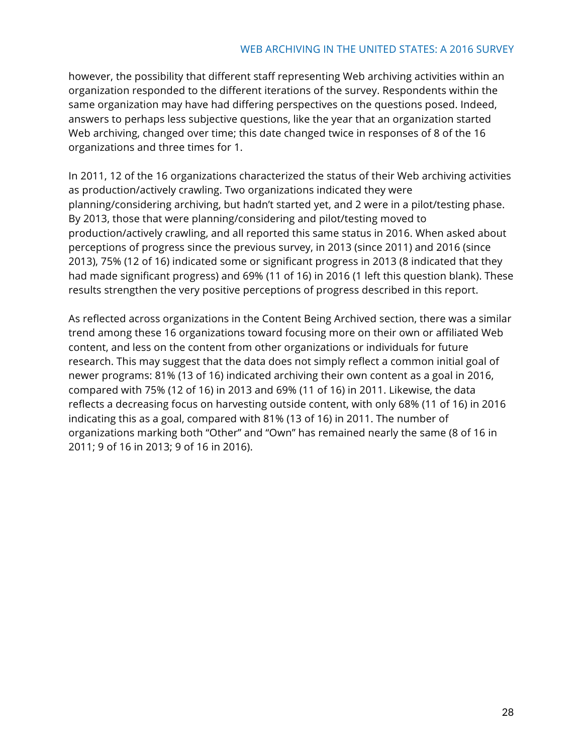however, the possibility that different staff representing Web archiving activities within an organization responded to the different iterations of the survey. Respondents within the same organization may have had differing perspectives on the questions posed. Indeed, answers to perhaps less subjective questions, like the year that an organization started Web archiving, changed over time; this date changed twice in responses of 8 of the 16 organizations and three times for 1.

In 2011, 12 of the 16 organizations characterized the status of their Web archiving activities as production/actively crawling. Two organizations indicated they were planning/considering archiving, but hadn't started yet, and 2 were in a pilot/testing phase. By 2013, those that were planning/considering and pilot/testing moved to production/actively crawling, and all reported this same status in 2016. When asked about perceptions of progress since the previous survey, in 2013 (since 2011) and 2016 (since 2013), 75% (12 of 16) indicated some or significant progress in 2013 (8 indicated that they had made significant progress) and 69% (11 of 16) in 2016 (1 left this question blank). These results strengthen the very positive perceptions of progress described in this report.

As reflected across organizations in the Content Being Archived section, there was a similar trend among these 16 organizations toward focusing more on their own or affiliated Web content, and less on the content from other organizations or individuals for future research. This may suggest that the data does not simply reflect a common initial goal of newer programs: 81% (13 of 16) indicated archiving their own content as a goal in 2016, compared with 75% (12 of 16) in 2013 and 69% (11 of 16) in 2011. Likewise, the data reflects a decreasing focus on harvesting outside content, with only 68% (11 of 16) in 2016 indicating this as a goal, compared with 81% (13 of 16) in 2011. The number of organizations marking both "Other" and "Own" has remained nearly the same (8 of 16 in 2011; 9 of 16 in 2013; 9 of 16 in 2016).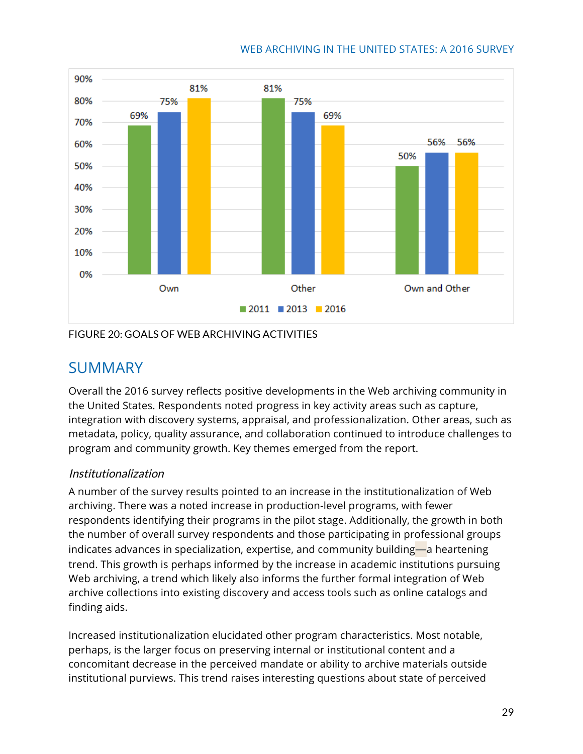

#### FIGURE 20: GOALS OF WEB ARCHIVING ACTIVITIES

# **SUMMARY**

Overall the 2016 survey reflects positive developments in the Web archiving community in the United States. Respondents noted progress in key activity areas such as capture, integration with discovery systems, appraisal, and professionalization. Other areas, such as metadata, policy, quality assurance, and collaboration continued to introduce challenges to program and community growth. Key themes emerged from the report.

#### Institutionalization

A number of the survey results pointed to an increase in the institutionalization of Web archiving. There was a noted increase in production-level programs, with fewer respondents identifying their programs in the pilot stage. Additionally, the growth in both the number of overall survey respondents and those participating in professional groups indicates advances in specialization, expertise, and community building—a heartening trend. This growth is perhaps informed by the increase in academic institutions pursuing Web archiving, a trend which likely also informs the further formal integration of Web archive collections into existing discovery and access tools such as online catalogs and finding aids.

Increased institutionalization elucidated other program characteristics. Most notable, perhaps, is the larger focus on preserving internal or institutional content and a concomitant decrease in the perceived mandate or ability to archive materials outside institutional purviews. This trend raises interesting questions about state of perceived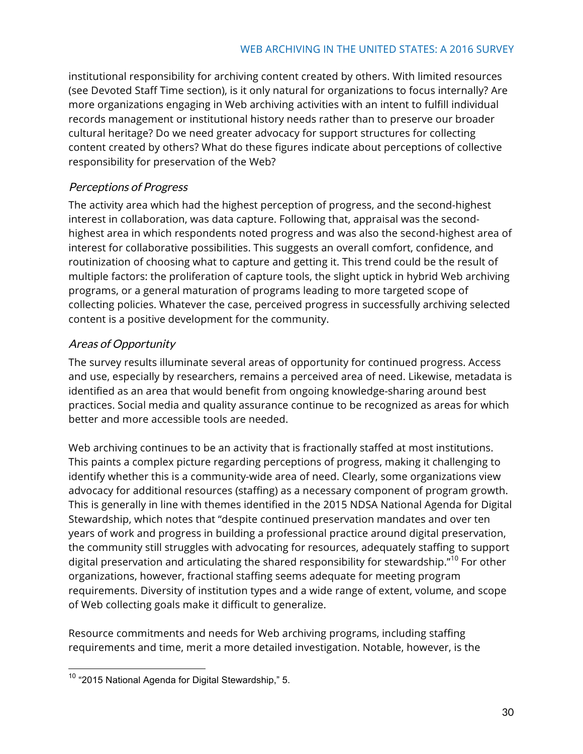institutional responsibility for archiving content created by others. With limited resources (see Devoted Staff Time section), is it only natural for organizations to focus internally? Are more organizations engaging in Web archiving activities with an intent to fulfill individual records management or institutional history needs rather than to preserve our broader cultural heritage? Do we need greater advocacy for support structures for collecting content created by others? What do these figures indicate about perceptions of collective responsibility for preservation of the Web?

#### Perceptions of Progress

The activity area which had the highest perception of progress, and the second-highest interest in collaboration, was data capture. Following that, appraisal was the secondhighest area in which respondents noted progress and was also the second-highest area of interest for collaborative possibilities. This suggests an overall comfort, confidence, and routinization of choosing what to capture and getting it. This trend could be the result of multiple factors: the proliferation of capture tools, the slight uptick in hybrid Web archiving programs, or a general maturation of programs leading to more targeted scope of collecting policies. Whatever the case, perceived progress in successfully archiving selected content is a positive development for the community.

#### Areas of Opportunity

The survey results illuminate several areas of opportunity for continued progress. Access and use, especially by researchers, remains a perceived area of need. Likewise, metadata is identified as an area that would benefit from ongoing knowledge-sharing around best practices. Social media and quality assurance continue to be recognized as areas for which better and more accessible tools are needed.

Web archiving continues to be an activity that is fractionally staffed at most institutions. This paints a complex picture regarding perceptions of progress, making it challenging to identify whether this is a community-wide area of need. Clearly, some organizations view advocacy for additional resources (staffing) as a necessary component of program growth. This is generally in line with themes identified in the 2015 NDSA National Agenda for Digital Stewardship, which notes that "despite continued preservation mandates and over ten years of work and progress in building a professional practice around digital preservation, the community still struggles with advocating for resources, adequately staffing to support digital preservation and articulating the shared responsibility for stewardship."<sup>10</sup> For other organizations, however, fractional staffing seems adequate for meeting program requirements. Diversity of institution types and a wide range of extent, volume, and scope of Web collecting goals make it difficult to generalize.

Resource commitments and needs for Web archiving programs, including staffing requirements and time, merit a more detailed investigation. Notable, however, is the

 <sup>10</sup> "2015 National Agenda for Digital Stewardship," 5.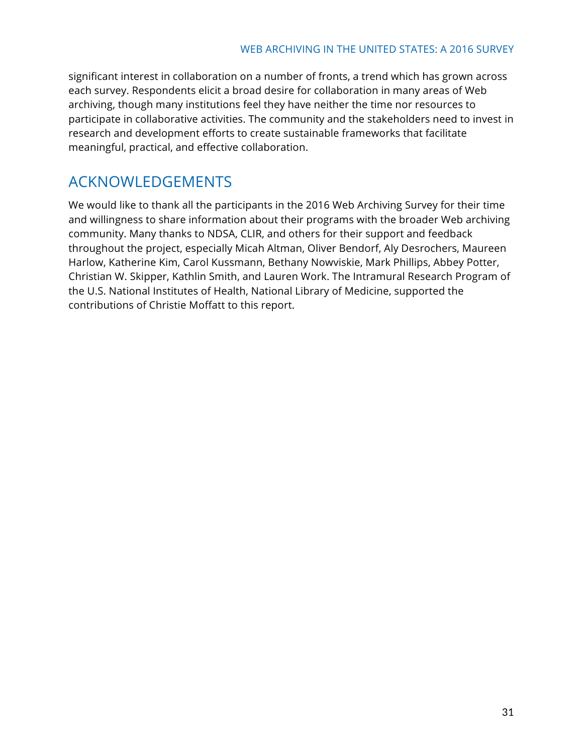significant interest in collaboration on a number of fronts, a trend which has grown across each survey. Respondents elicit a broad desire for collaboration in many areas of Web archiving, though many institutions feel they have neither the time nor resources to participate in collaborative activities. The community and the stakeholders need to invest in research and development efforts to create sustainable frameworks that facilitate meaningful, practical, and effective collaboration.

# ACKNOWLEDGEMENTS

We would like to thank all the participants in the 2016 Web Archiving Survey for their time and willingness to share information about their programs with the broader Web archiving community. Many thanks to NDSA, CLIR, and others for their support and feedback throughout the project, especially Micah Altman, Oliver Bendorf, Aly Desrochers, Maureen Harlow, Katherine Kim, Carol Kussmann, Bethany Nowviskie, Mark Phillips, Abbey Potter, Christian W. Skipper, Kathlin Smith, and Lauren Work. The Intramural Research Program of the U.S. National Institutes of Health, National Library of Medicine, supported the contributions of Christie Moffatt to this report.